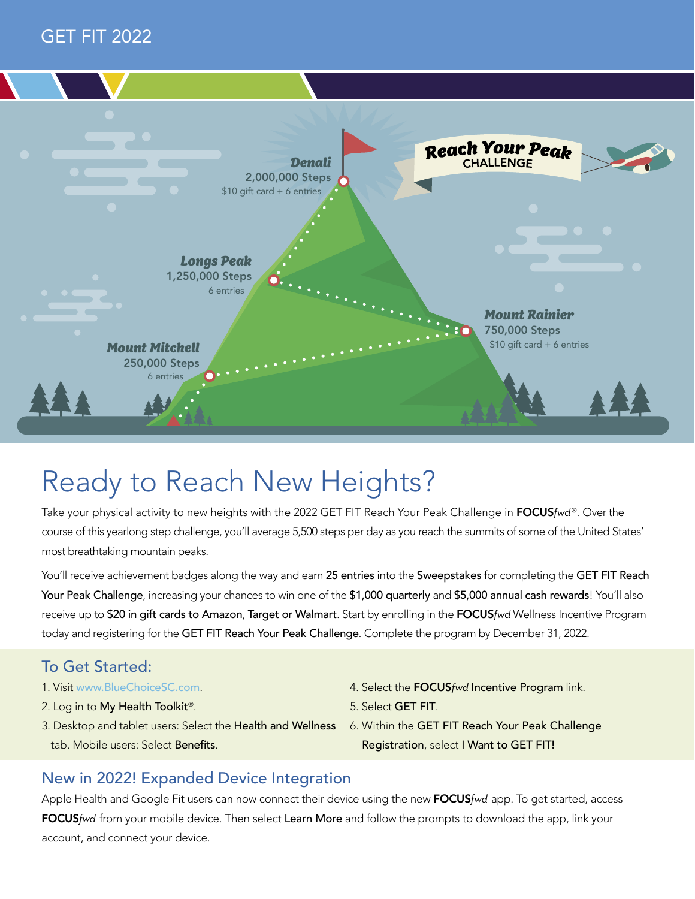



## Ready to Reach New Heights?

Take your physical activity to new heights with the 2022 GET FIT Reach Your Peak Challenge in FOCUS*fwd* ®. Over the course of this yearlong step challenge, you'll average 5,500 steps per day as you reach the summits of some of the United States' most breathtaking mountain peaks.

You'll receive achievement badges along the way and earn 25 entries into the Sweepstakes for completing the GET FIT Reach Your Peak Challenge, increasing your chances to win one of the \$1,000 quarterly and \$5,000 annual cash rewards! You'll also receive up to \$20 in gift cards to Amazon, Target or Walmart. Start by enrolling in the FOCUS*fwd* Wellness Incentive Program today and registering for the GET FIT Reach Your Peak Challenge. Complete the program by December 31, 2022.

### To Get Started:

- 1. Visit [www.BlueChoiceSC.com](http://www.BlueChoiceSC.com).
- 2. Log in to My Health Toolkit<sup>®</sup>.
- 3. Desktop and tablet users: Select the Health and Wellness tab. Mobile users: Select Benefits.
- 4. Select the FOCUS*fwd* Incentive Program link.
- 5. Select GET FIT.
- 6. Within the GET FIT Reach Your Peak Challenge Registration, select I Want to GET FIT!

#### New in 2022! Expanded Device Integration

Apple Health and Google Fit users can now connect their device using the new FOCUS*fwd* app. To get started, access FOCUS*fwd* from your mobile device. Then select Learn More and follow the prompts to download the app, link your account, and connect your device.